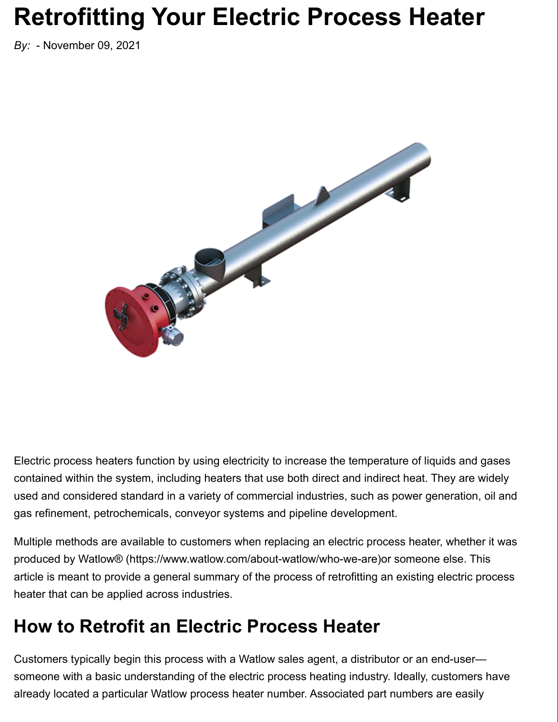# **Retrofitting Your Electric Process Heater**

*By:* - November 09, 2021



Electric process heaters function by using electricity to increase the temperature of liquids and gases contained within the system, including heaters that use both direct and indirect heat. They are widely used and considered standard in a variety of commercial industries, such as power generation, oil and gas refinement, petrochemicals, conveyor systems and pipeline development.

Multiple methods are available to customers when replacing an electric process heater, whether it was produced by Watlow® (https://www.watlow.com/about-watlow/who-we-are)or someone else. This article is meant to provide a general summary of the process of retrofitting an existing electric process heater that can be applied across industries.

#### **How to Retrofit an Electric Process Heater**

Customers typically begin this process with a Watlow sales agent, a distributor or an end-user someone with a basic understanding of the electric process heating industry. Ideally, customers have already located a particular Watlow process heater number. Associated part numbers are easily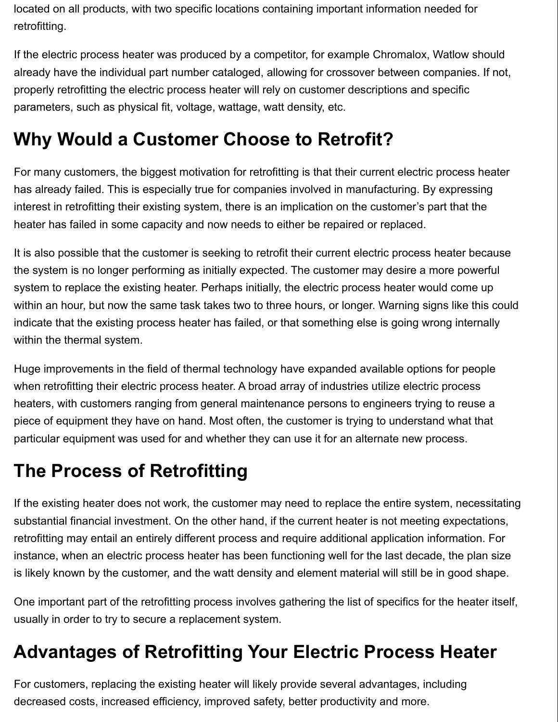located on all products, with two specific locations containing important information needed for retrofitting.

If the electric process heater was produced by a competitor, for example Chromalox, Watlow should already have the individual part number cataloged, allowing for crossover between companies. If not, properly retrofitting the electric process heater will rely on customer descriptions and specific parameters, such as physical fit, voltage, wattage, watt density, etc.

### **Why Would a Customer Choose to Retrofit?**

For many customers, the biggest motivation for retrofitting is that their current electric process heater has already failed. This is especially true for companies involved in manufacturing. By expressing interest in retrofitting their existing system, there is an implication on the customer's part that the heater has failed in some capacity and now needs to either be repaired or replaced.

It is also possible that the customer is seeking to retrofit their current electric process heater because the system is no longer performing as initially expected. The customer may desire a more powerful system to replace the existing heater. Perhaps initially, the electric process heater would come up within an hour, but now the same task takes two to three hours, or longer. Warning signs like this could indicate that the existing process heater has failed, or that something else is going wrong internally within the thermal system.

Huge improvements in the field of thermal technology have expanded available options for people when retrofitting their electric process heater. A broad array of industries utilize electric process heaters, with customers ranging from general maintenance persons to engineers trying to reuse a piece of equipment they have on hand. Most often, the customer is trying to understand what that particular equipment was used for and whether they can use it for an alternate new process.

### **The Process of Retrofitting**

If the existing heater does not work, the customer may need to replace the entire system, necessitating substantial financial investment. On the other hand, if the current heater is not meeting expectations, retrofitting may entail an entirely different process and require additional application information. For instance, when an electric process heater has been functioning well for the last decade, the plan size is likely known by the customer, and the watt density and element material will still be in good shape.

One important part of the retrofitting process involves gathering the list of specifics for the heater itself, usually in order to try to secure a replacement system.

## **Advantages of Retrofitting Your Electric Process Heater**

For customers, replacing the existing heater will likely provide several advantages, including decreased costs, increased efficiency, improved safety, better productivity and more.